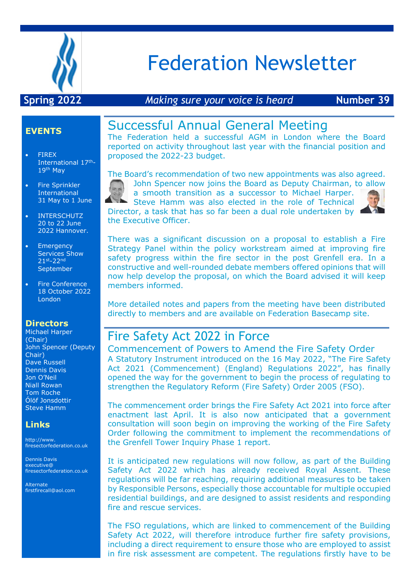

# Federation Newsletter

### **Spring 2022** *Making sure your voice is heard* **Number 39**

### **EVENTS**

- FIREX International 17th-19th May
- Fire Sprinkler International 31 May to 1 June
- **INTERSCHUTZ** 20 to 22 June 2022 Hannover.
- Emergency Services Show 21st-22nd September
- Fire Conference 18 October 2022 London

#### **Directors**

Michael Harper (Chair) John Spencer (Deputy Chair) Dave Russell Dennis Davis Jon O'Neil Niall Rowan Tom Roche Ólöf Jonsdottir Steve Hamm

#### **Links**

http://www. firesectorfederation.co.uk

Dennis Davis executive@ firesectorfederation.co.uk

Alternate firstfirecall@aol.com

## Successful Annual General Meeting

The Federation held a successful AGM in London where the Board reported on activity throughout last year with the financial position and proposed the 2022-23 budget.

The Board's recommendation of two new appointments was also agreed.



John Spencer now joins the Board as Deputy Chairman, to allow a smooth transition as a successor to Michael Harper.

Steve Hamm was also elected in the role of Technical Director, a task that has so far been a dual role undertaken by the Executive Officer.

There was a significant discussion on a proposal to establish a Fire Strategy Panel within the policy workstream aimed at improving fire safety progress within the fire sector in the post Grenfell era. In a constructive and well-rounded debate members offered opinions that will now help develop the proposal, on which the Board advised it will keep members informed.

More detailed notes and papers from the meeting have been distributed directly to members and are available on Federation Basecamp site.

## Fire Safety Act 2022 in Force

Commencement of Powers to Amend the Fire Safety Order A Statutory Instrument introduced on the 16 May 2022, "The Fire Safety Act 2021 (Commencement) (England) Regulations 2022", has finally opened the way for the government to begin the process of regulating to strengthen the Regulatory Reform (Fire Safety) Order 2005 (FSO).

The commencement order brings the Fire Safety Act 2021 into force after enactment last April. It is also now anticipated that a government consultation will soon begin on improving the working of the Fire Safety Order following the commitment to implement the recommendations of the Grenfell Tower Inquiry Phase 1 report.

It is anticipated new regulations will now follow, as part of the Building Safety Act 2022 which has already received Royal Assent. These regulations will be far reaching, requiring additional measures to be taken by Responsible Persons, especially those accountable for multiple occupied residential buildings, and are designed to assist residents and responding fire and rescue services.

The FSO regulations, which are linked to commencement of the Building Safety Act 2022, will therefore introduce further fire safety provisions, including a direct requirement to ensure those who are employed to assist in fire risk assessment are competent. The regulations firstly have to be